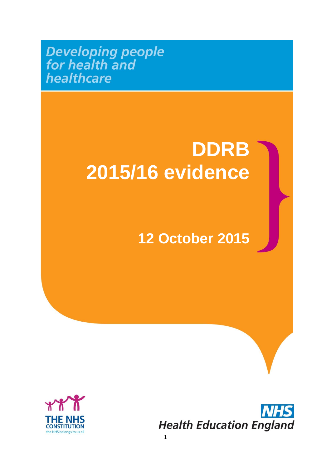**Developing people**<br>for health and healthcare

## **DDRB 2015/16 evidence**

### **12 October 2015**



**Health Education England**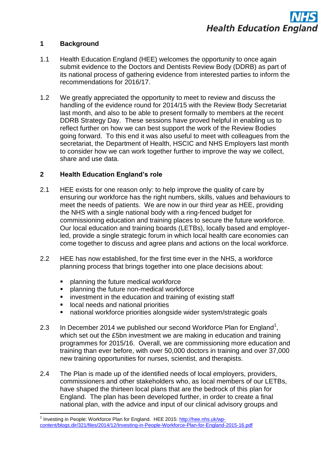#### **1 Background**

- 1.1 Health Education England (HEE) welcomes the opportunity to once again submit evidence to the Doctors and Dentists Review Body (DDRB) as part of its national process of gathering evidence from interested parties to inform the recommendations for 2016/17.
- 1.2 We greatly appreciated the opportunity to meet to review and discuss the handling of the evidence round for 2014/15 with the Review Body Secretariat last month, and also to be able to present formally to members at the recent DDRB Strategy Day. These sessions have proved helpful in enabling us to reflect further on how we can best support the work of the Review Bodies going forward. To this end it was also useful to meet with colleagues from the secretariat, the Department of Health, HSCIC and NHS Employers last month to consider how we can work together further to improve the way we collect, share and use data.

#### **2 Health Education England's role**

- 2.1 HEE exists for one reason only: to help improve the quality of care by ensuring our workforce has the right numbers, skills, values and behaviours to meet the needs of patients. We are now in our third year as HEE, providing the NHS with a single national body with a ring-fenced budget for commissioning education and training places to secure the future workforce. Our local education and training boards (LETBs), locally based and employerled, provide a single strategic forum in which local health care economies can come together to discuss and agree plans and actions on the local workforce.
- 2.2 HEE has now established, for the first time ever in the NHS, a workforce planning process that brings together into one place decisions about:
	- planning the future medical workforce
	- **•** planning the future non-medical workforce
	- investment in the education and training of existing staff
	- **IDCAL needs and national priorities**

- national workforce priorities alongside wider system/strategic goals
- 2.3 In December 2014 we published our second Workforce Plan for England<sup>1</sup>, which set out the £5bn investment we are making in education and training programmes for 2015/16. Overall, we are commissioning more education and training than ever before, with over 50,000 doctors in training and over 37,000 new training opportunities for nurses, scientist, and therapists.
- 2.4 The Plan is made up of the identified needs of local employers, providers, commissioners and other stakeholders who, as local members of our LETBs, have shaped the thirteen local plans that are the bedrock of this plan for England. The plan has been developed further, in order to create a final national plan, with the advice and input of our clinical advisory groups and

<sup>&</sup>lt;sup>1</sup> Investing in People: Workforce Plan for England. HEE 2015: [http://hee.nhs.uk/wp](http://hee.nhs.uk/wp-content/blogs.dir/321/files/2014/12/Investing-in-People-Workforce-Plan-for-England-2015-16.pdf)[content/blogs.dir/321/files/2014/12/Investing-in-People-Workforce-Plan-for-England-2015-16.pdf](http://hee.nhs.uk/wp-content/blogs.dir/321/files/2014/12/Investing-in-People-Workforce-Plan-for-England-2015-16.pdf)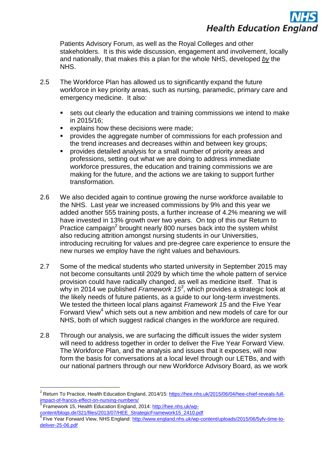# **Health Education England**

Patients Advisory Forum, as well as the Royal Colleges and other stakeholders. It is this wide discussion, engagement and involvement, locally and nationally, that makes this a plan for the whole NHS, developed *by* the NHS.

- 2.5 The Workforce Plan has allowed us to significantly expand the future workforce in key priority areas, such as nursing, paramedic, primary care and emergency medicine. It also:
	- sets out clearly the education and training commissions we intend to make in 2015/16;
	- explains how these decisions were made;
	- provides the aggregate number of commissions for each profession and the trend increases and decreases within and between key groups;
	- provides detailed analysis for a small number of priority areas and professions, setting out what we are doing to address immediate workforce pressures, the education and training commissions we are making for the future, and the actions we are taking to support further transformation.
- 2.6 We also decided again to continue growing the nurse workforce available to the NHS. Last year we increased commissions by 9% and this year we added another 555 training posts, a further increase of 4.2% meaning we will have invested in 13% growth over two years. On top of this our Return to Practice campaign<sup>2</sup> brought nearly 800 nurses back into the system whilst also reducing attrition amongst nursing students in our Universities, introducing recruiting for values and pre-degree care experience to ensure the new nurses we employ have the right values and behaviours.
- 2.7 Some of the medical students who started university in September 2015 may not become consultants until 2029 by which time the whole pattern of service provision could have radically changed, as well as medicine itself. That is why in 2014 we published *Framework 15<sup>3</sup>* , which provides a strategic look at the likely needs of future patients, as a guide to our long-term investments. We tested the thirteen local plans against *Framework 15* and the Five Year Forward View<sup>4</sup> which sets out a new ambition and new models of care for our NHS, both of which suggest radical changes in the workforce are required.
- 2.8 Through our analysis, we are surfacing the difficult issues the wider system will need to address together in order to deliver the Five Year Forward View. The Workforce Plan, and the analysis and issues that it exposes, will now form the basis for conversations at a local level through our LETBs, and with our national partners through our new Workforce Advisory Board, as we work

<sup>&</sup>lt;sup>2</sup> Return To Practice, Health Education England, 2014/15: [https://hee.nhs.uk/2015/06/04/hee-chief-reveals-full](https://hee.nhs.uk/2015/06/04/hee-chief-reveals-full-impact-of-francis-effect-on-nursing-numbers/)[impact-of-francis-effect-on-nursing-numbers/](https://hee.nhs.uk/2015/06/04/hee-chief-reveals-full-impact-of-francis-effect-on-nursing-numbers/)

<sup>3</sup> Framework 15, Health Education England, 2014: [http://hee.nhs.uk/wp](http://hee.nhs.uk/wp-content/blogs.dir/321/files/2013/07/HEE_StrategicFramework15_2410.pdf)[content/blogs.dir/321/files/2013/07/HEE\\_StrategicFramework15\\_2410.pdf](http://hee.nhs.uk/wp-content/blogs.dir/321/files/2013/07/HEE_StrategicFramework15_2410.pdf) 4

Five Year Forward View, NHS England: [http://www.england.nhs.uk/wp-content/uploads/2015/06/5yfv-time-to](http://www.england.nhs.uk/wp-content/uploads/2015/06/5yfv-time-to-deliver-25-06.pdf)[deliver-25-06.pdf](http://www.england.nhs.uk/wp-content/uploads/2015/06/5yfv-time-to-deliver-25-06.pdf)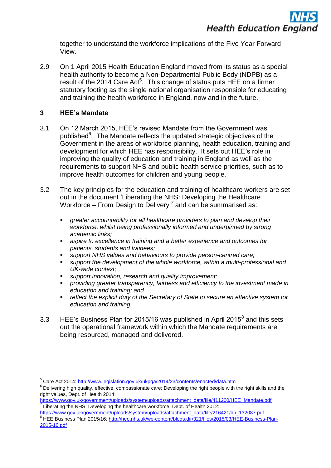together to understand the workforce implications of the Five Year Forward View.

2.9 On 1 April 2015 Health Education England moved from its status as a special health authority to become a Non-Departmental Public Body (NDPB) as a result of the 2014 Care Act<sup>5</sup>. This change of status puts HEE on a firmer statutory footing as the single national organisation responsible for educating and training the health workforce in England, now and in the future.

#### **3 HEE's Mandate**

- 3.1 On 12 March 2015, HEE"s revised Mandate from the Government was published<sup>6</sup>. The Mandate reflects the updated strategic objectives of the Government in the areas of workforce planning, health education, training and development for which HEE has responsibility. It sets out HEE"s role in improving the quality of education and training in England as well as the requirements to support NHS and public health service priorities, such as to improve health outcomes for children and young people.
- 3.2 The key principles for the education and training of healthcare workers are set out in the document "Liberating the NHS: Developing the Healthcare Workforce – From Design to Delivery<sup>7</sup> and can be summarised as:
	- *greater accountability for all healthcare providers to plan and develop their workforce, whilst being professionally informed and underpinned by strong academic links;*
	- *aspire to excellence in training and a better experience and outcomes for patients, students and trainees;*
	- *support NHS values and behaviours to provide person-centred care;*
	- *support the development of the whole workforce, within a multi-professional and UK-wide context;*
	- *support innovation, research and quality improvement;*
	- *providing greater transparency, fairness and efficiency to the investment made in education and training; and*
	- *reflect the explicit duty of the Secretary of State to secure an effective system for education and training.*
- 3.3 HEE's Business Plan for 2015/16 was published in April 2015 $^8$  and this sets out the operational framework within which the Mandate requirements are being resourced, managed and delivered.

<sup>&</sup>lt;sup>5</sup> Care Act 2014:<http://www.legislation.gov.uk/ukpga/2014/23/contents/enacted/data.htm>

 $6$  Delivering high quality, effective, compassionate care: Developing the right people with the right skills and the right values, Dept. of Health 2014:

[https://www.gov.uk/government/uploads/system/uploads/attachment\\_data/file/411200/HEE\\_Mandate.pdf](https://www.gov.uk/government/uploads/system/uploads/attachment_data/file/411200/HEE_Mandate.pdf)  $\frac{7}{7}$  Liberating the NHS: Developing the healthcare workforce, Dept. of Health 2012:

[https://www.gov.uk/government/uploads/system/uploads/attachment\\_data/file/216421/dh\\_132087.pdf](https://www.gov.uk/government/uploads/system/uploads/attachment_data/file/216421/dh_132087.pdf) <sup>8</sup> HEE Business Plan 2015/16[: http://hee.nhs.uk/wp-content/blogs.dir/321/files/2015/03/HEE-Business-Plan-](http://hee.nhs.uk/wp-content/blogs.dir/321/files/2015/03/HEE-Business-Plan-2015-16.pdf)[2015-16.pdf](http://hee.nhs.uk/wp-content/blogs.dir/321/files/2015/03/HEE-Business-Plan-2015-16.pdf)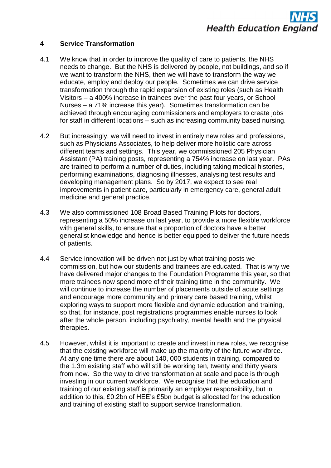

#### **4 Service Transformation**

- 4.1 We know that in order to improve the quality of care to patients, the NHS needs to change. But the NHS is delivered by people, not buildings, and so if we want to transform the NHS, then we will have to transform the way we educate, employ and deploy our people. Sometimes we can drive service transformation through the rapid expansion of existing roles (such as Health Visitors – a 400% increase in trainees over the past four years, or School Nurses – a 71% increase this year). Sometimes transformation can be achieved through encouraging commissioners and employers to create jobs for staff in different locations – such as increasing community based nursing.
- 4.2 But increasingly, we will need to invest in entirely new roles and professions, such as Physicians Associates, to help deliver more holistic care across different teams and settings. This year, we commissioned 205 Physician Assistant (PA) training posts, representing a 754% increase on last year. PAs are trained to perform a number of duties, including taking medical histories, performing examinations, diagnosing illnesses, analysing test results and developing management plans. So by 2017, we expect to see real improvements in patient care, particularly in emergency care, general adult medicine and general practice.
- 4.3 We also commissioned 108 Broad Based Training Pilots for doctors, representing a 50% increase on last year, to provide a more flexible workforce with general skills, to ensure that a proportion of doctors have a better generalist knowledge and hence is better equipped to deliver the future needs of patients.
- 4.4 Service innovation will be driven not just by what training posts we commission, but how our students and trainees are educated. That is why we have delivered major changes to the Foundation Programme this year, so that more trainees now spend more of their training time in the community. We will continue to increase the number of placements outside of acute settings and encourage more community and primary care based training, whilst exploring ways to support more flexible and dynamic education and training, so that, for instance, post registrations programmes enable nurses to look after the whole person, including psychiatry, mental health and the physical therapies.
- 4.5 However, whilst it is important to create and invest in new roles, we recognise that the existing workforce will make up the majority of the future workforce. At any one time there are about 140, 000 students in training, compared to the 1.3m existing staff who will still be working ten, twenty and thirty years from now. So the way to drive transformation at scale and pace is through investing in our current workforce. We recognise that the education and training of our existing staff is primarily an employer responsibility, but in addition to this, £0.2bn of HEE"s £5bn budget is allocated for the education and training of existing staff to support service transformation.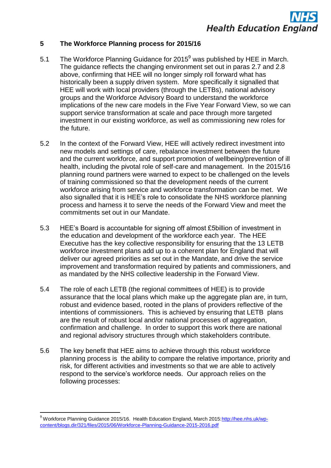#### **5 The Workforce Planning process for 2015/16**

- 5.1 The Workforce Planning Guidance for  $2015^9$  was published by HEE in March. The guidance reflects the changing environment set out in paras 2.7 and 2.8 above, confirming that HEE will no longer simply roll forward what has historically been a supply driven system. More specifically it signalled that HEE will work with local providers (through the LETBs), national advisory groups and the Workforce Advisory Board to understand the workforce implications of the new care models in the Five Year Forward View, so we can support service transformation at scale and pace through more targeted investment in our existing workforce, as well as commissioning new roles for the future.
- 5.2 In the context of the Forward View, HEE will actively redirect investment into new models and settings of care, rebalance investment between the future and the current workforce, and support promotion of wellbeing/prevention of ill health, including the pivotal role of self-care and management. In the 2015/16 planning round partners were warned to expect to be challenged on the levels of training commissioned so that the development needs of the current workforce arising from service and workforce transformation can be met. We also signalled that it is HEE"s role to consolidate the NHS workforce planning process and harness it to serve the needs of the Forward View and meet the commitments set out in our Mandate.
- 5.3 HEE"s Board is accountable for signing off almost £5billion of investment in the education and development of the workforce each year. The HEE Executive has the key collective responsibility for ensuring that the 13 LETB workforce investment plans add up to a coherent plan for England that will deliver our agreed priorities as set out in the Mandate, and drive the service improvement and transformation required by patients and commissioners, and as mandated by the NHS collective leadership in the Forward View.
- 5.4 The role of each LETB (the regional committees of HEE) is to provide assurance that the local plans which make up the aggregate plan are, in turn, robust and evidence based, rooted in the plans of providers reflective of the intentions of commissioners. This is achieved by ensuring that LETB plans are the result of robust local and/or national processes of aggregation, confirmation and challenge. In order to support this work there are national and regional advisory structures through which stakeholders contribute.
- 5.6 The key benefit that HEE aims to achieve through this robust workforce planning process is the ability to compare the relative importance, priority and risk, for different activities and investments so that we are able to actively respond to the service"s workforce needs. Our approach relies on the following processes:

1

<sup>&</sup>lt;sup>9</sup> Workforce Planning Guidance 2015/16. Health Education England, March 2015[:http://hee.nhs.uk/wp](http://hee.nhs.uk/wp-content/blogs.dir/321/files/2015/06/Workforce-Planning-Guidance-2015-2016.pdf)[content/blogs.dir/321/files/2015/06/Workforce-Planning-Guidance-2015-2016.pdf](http://hee.nhs.uk/wp-content/blogs.dir/321/files/2015/06/Workforce-Planning-Guidance-2015-2016.pdf)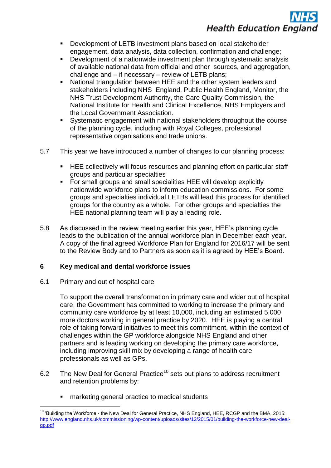

- Development of LETB investment plans based on local stakeholder engagement, data analysis, data collection, confirmation and challenge;
- Development of a nationwide investment plan through systematic analysis of available national data from official and other sources, and aggregation, challenge and – if necessary – review of LETB plans;
- National triangulation between HEE and the other system leaders and stakeholders including NHS England, Public Health England, Monitor, the NHS Trust Development Authority, the Care Quality Commission, the National Institute for Health and Clinical Excellence, NHS Employers and the Local Government Association.
- Systematic engagement with national stakeholders throughout the course of the planning cycle, including with Royal Colleges, professional representative organisations and trade unions.
- 5.7 This year we have introduced a number of changes to our planning process:
	- HEE collectively will focus resources and planning effort on particular staff groups and particular specialties
	- For small groups and small specialities HEE will develop explicitly nationwide workforce plans to inform education commissions. For some groups and specialties individual LETBs will lead this process for identified groups for the country as a whole. For other groups and specialties the HEE national planning team will play a leading role.
- 5.8 As discussed in the review meeting earlier this year, HEE"s planning cycle leads to the publication of the annual workforce plan in December each year. A copy of the final agreed Workforce Plan for England for 2016/17 will be sent to the Review Body and to Partners as soon as it is agreed by HEE"s Board.

#### **6 Key medical and dental workforce issues**

#### 6.1 Primary and out of hospital care

**.** 

To support the overall transformation in primary care and wider out of hospital care, the Government has committed to working to increase the primary and community care workforce by at least 10,000, including an estimated 5,000 more doctors working in general practice by 2020. HEE is playing a central role of taking forward initiatives to meet this commitment, within the context of challenges within the GP workforce alongside NHS England and other partners and is leading working on developing the primary care workforce, including improving skill mix by developing a range of health care professionals as well as GPs.

- 6.2 The New Deal for General Practice<sup>10</sup> sets out plans to address recruitment and retention problems by:
	- marketing general practice to medical students

<sup>&</sup>lt;sup>10</sup> 'Building the Workforce - the New Deal for General Practice, NHS England, HEE, RCGP and the BMA, 2015: [http://www.england.nhs.uk/commissioning/wp-content/uploads/sites/12/2015/01/building-the-workforce-new-deal](http://www.england.nhs.uk/commissioning/wp-content/uploads/sites/12/2015/01/building-the-workforce-new-deal-gp.pdf)[gp.pdf](http://www.england.nhs.uk/commissioning/wp-content/uploads/sites/12/2015/01/building-the-workforce-new-deal-gp.pdf)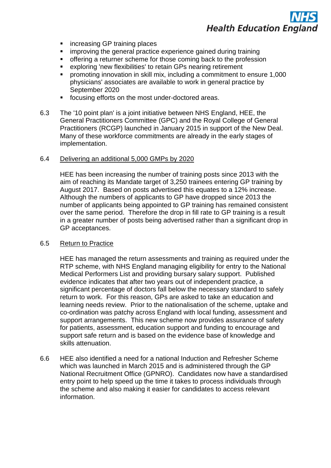- increasing GP training places
- improving the general practice experience gained during training
- offering a returner scheme for those coming back to the profession
- exploring 'new flexibilities' to retain GPs nearing retirement
- promoting innovation in skill mix, including a commitment to ensure 1,000 physicians' associates are available to work in general practice by September 2020
- focusing efforts on the most under-doctored areas.
- 6.3 The '10 point plan' is a joint initiative between NHS England, HEE, the General Practitioners Committee (GPC) and the Royal College of General Practitioners (RCGP) launched in January 2015 in support of the New Deal. Many of these workforce commitments are already in the early stages of implementation.

#### 6.4 Delivering an additional 5,000 GMPs by 2020

HEE has been increasing the number of training posts since 2013 with the aim of reaching its Mandate target of 3,250 trainees entering GP training by August 2017. Based on posts advertised this equates to a 12% increase. Although the numbers of applicants to GP have dropped since 2013 the number of applicants being appointed to GP training has remained consistent over the same period. Therefore the drop in fill rate to GP training is a result in a greater number of posts being advertised rather than a significant drop in GP acceptances.

#### 6.5 Return to Practice

HEE has managed the return assessments and training as required under the RTP scheme, with NHS England managing eligibility for entry to the National Medical Performers List and providing bursary salary support. Published evidence indicates that after two years out of independent practice, a significant percentage of doctors fall below the necessary standard to safely return to work. For this reason, GPs are asked to take an education and learning needs review. Prior to the nationalisation of the scheme, uptake and co-ordination was patchy across England with local funding, assessment and support arrangements. This new scheme now provides assurance of safety for patients, assessment, education support and funding to encourage and support safe return and is based on the evidence base of knowledge and skills attenuation.

6.6 HEE also identified a need for a national Induction and Refresher Scheme which was launched in March 2015 and is administered through the GP National Recruitment Office (GPNRO). Candidates now have a standardised entry point to help speed up the time it takes to process individuals through the scheme and also making it easier for candidates to access relevant information.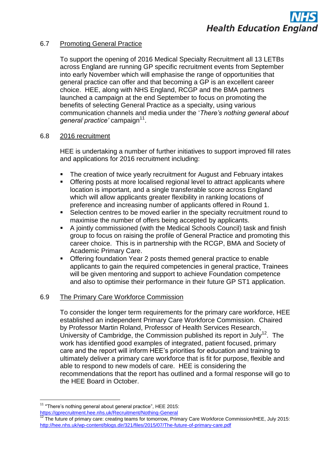#### 6.7 Promoting General Practice

To support the opening of 2016 Medical Specialty Recruitment all 13 LETBs across England are running GP specific recruitment events from September into early November which will emphasise the range of opportunities that general practice can offer and that becoming a GP is an excellent career choice. HEE, along with NHS England, RCGP and the BMA partners launched a campaign at the end September to focus on promoting the benefits of selecting General Practice as a specialty, using various communication channels and media under the "*There's nothing general about*  general practice' campaign<sup>11</sup>.

#### 6.8 2016 recruitment

HEE is undertaking a number of further initiatives to support improved fill rates and applications for 2016 recruitment including:

- The creation of twice yearly recruitment for August and February intakes
- **Offering posts at more localised regional level to attract applicants where** location is important, and a single transferable score across England which will allow applicants greater flexibility in ranking locations of preference and increasing number of applicants offered in Round 1.
- Selection centres to be moved earlier in the specialty recruitment round to maximise the number of offers being accepted by applicants.
- A jointly commissioned (with the Medical Schools Council) task and finish group to focus on raising the profile of General Practice and promoting this career choice. This is in partnership with the RCGP, BMA and Society of Academic Primary Care.
- Offering foundation Year 2 posts themed general practice to enable applicants to gain the required competencies in general practice, Trainees will be given mentoring and support to achieve Foundation competence and also to optimise their performance in their future GP ST1 application.

#### 6.9 The Primary Care Workforce Commission

To consider the longer term requirements for the primary care workforce, HEE established an independent Primary Care Workforce Commission. Chaired by Professor Martin Roland, Professor of Health Services Research, University of Cambridge, the Commission published its report in July<sup>12</sup>. The work has identified good examples of integrated, patient focused, primary care and the report will inform HEE"s priorities for education and training to ultimately deliver a primary care workforce that is fit for purpose, flexible and able to respond to new models of care. HEE is considering the recommendations that the report has outlined and a formal response will go to the HEE Board in October.

 $11$  "There's nothing general about general practice", HEE 2015: <https://gprecruitment.hee.nhs.uk/Recruitment/Nothing-General>

<sup>12</sup> The future of primary care: creating teams for tomorrow, Primary Care Workforce Commission/HEE, July 2015: <http://hee.nhs.uk/wp-content/blogs.dir/321/files/2015/07/The-future-of-primary-care.pdf>